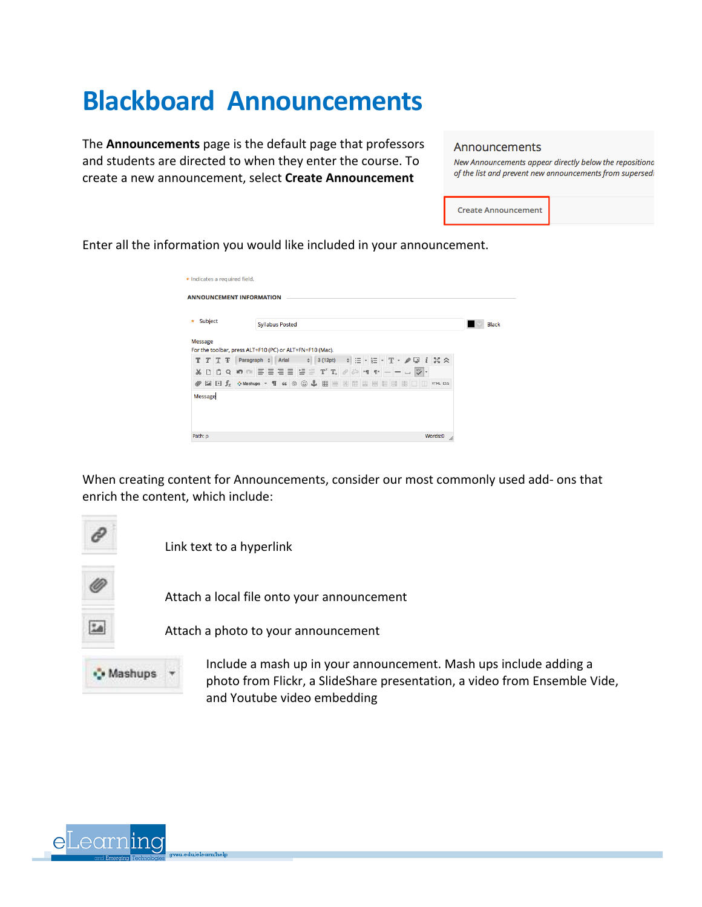## **Blackboard Announcements**

The **Announcements** page is the default page that professors and students are directed to when they enter the course. To create a new announcement, select **Create Announcement** 

## Announcements

New Announcements appear directly below the repositiona of the list and prevent new announcements from supersedi

**Create Announcement** 

Enter all the information you would like included in your announcement.

| * Indicates a required field.   |                                                                                                                                                                                                                                                 |              |
|---------------------------------|-------------------------------------------------------------------------------------------------------------------------------------------------------------------------------------------------------------------------------------------------|--------------|
| <b>ANNOUNCEMENT INFORMATION</b> |                                                                                                                                                                                                                                                 |              |
| Subject<br>$\star$              | <b>Syllabus Posted</b>                                                                                                                                                                                                                          | <b>Black</b> |
| Message                         | For the toolbar, press ALT+F10 (PC) or ALT+FN+F10 (Mac).                                                                                                                                                                                        |              |
| т<br>$T$ T $\mp$                | - 히트×巨×里× # 모 ㅣ 용 ☆<br>3 (12pt)<br>Paragraph $\div$ Arial<br>$\div$                                                                                                                                                                             |              |
| $\Box$<br>X.<br>n               | $Q \parallel Q \parallel Q \parallel \equiv \equiv \equiv \equiv \equiv \equiv \left[ \pm \right] \equiv \left[ T^* \, T_x \right] \otimes \left[ \otimes \left[ H \right] \, T^* \right] = \left[ - \right] \cup \left[ \frac{485}{3} \right]$ |              |
| Ø                               | <b>BOD</b><br>HTML ESS                                                                                                                                                                                                                          |              |
| Message                         |                                                                                                                                                                                                                                                 |              |
|                                 |                                                                                                                                                                                                                                                 |              |
|                                 |                                                                                                                                                                                                                                                 |              |
| Path: p                         | Words:0<br>h.                                                                                                                                                                                                                                   |              |

When creating content for Announcements, consider our most commonly used add- ons that enrich the content, which include:



Include a mash up in your announcement. Mash ups include adding a photo from Flickr, a SlideShare presentation, a video from Ensemble Vide, and Youtube video embedding